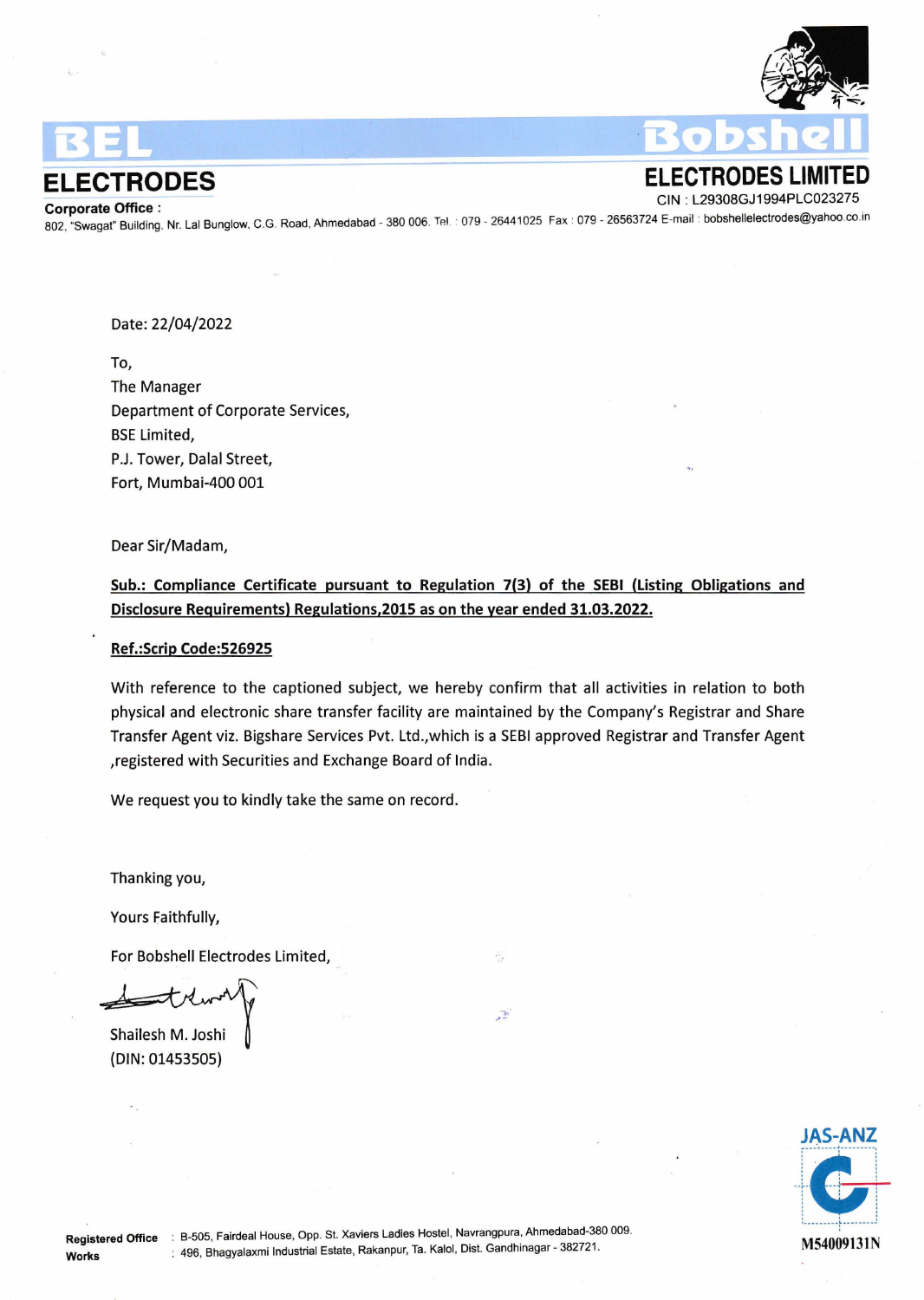

**ELECTRODES**<br> **ELECTRODES** LIMITED<br>
CIN : L29308GJ1994PLC023275 Corporate Office :<br>2023- Corporate Office :<br>802, "Swagat" Building, Nr. Lal Bunglow, C.G. Road, Ahmedabad - 380 006. Tel. : 079 - 26441025. Fax : 079 - 26563724 E-mail : bobshellelectrodes@yahoo.co.in

Date: 22/04/2022

To, The Manager Department of Corporate Services, BSE Limited, P.J. Tower, Dalal Street, Fort, Mumbai-400 001

Dear Sir/Madam,

Sub.: Compliance Certificate pursuant to Regulation 7(3) of the SEBI (Listing Obligations and Disclosure Requirements) Regulations,2015 as on the year ended 31.03.2022.

## Ref.:Scrip Code:526925

With reference to the captioned subject, we hereby confirm that all activities in relation to both physical and electronic share transfer facility are maintained by the Company's Registrar and Share Transfer Agent viz. Bigshare Services Pvt. Ltd., which is a SEBI approved Registrar and Transfer Agent ,registered with Securities and Exchange Board of India.

 $\frac{1}{2}$ 

We request you to kindly take the same on record.

Thanking you,

Yours Faithfully,

For Bobshell Electrodes Limited,

Shailesh M. Joshi {DIN: 01453505)

Works